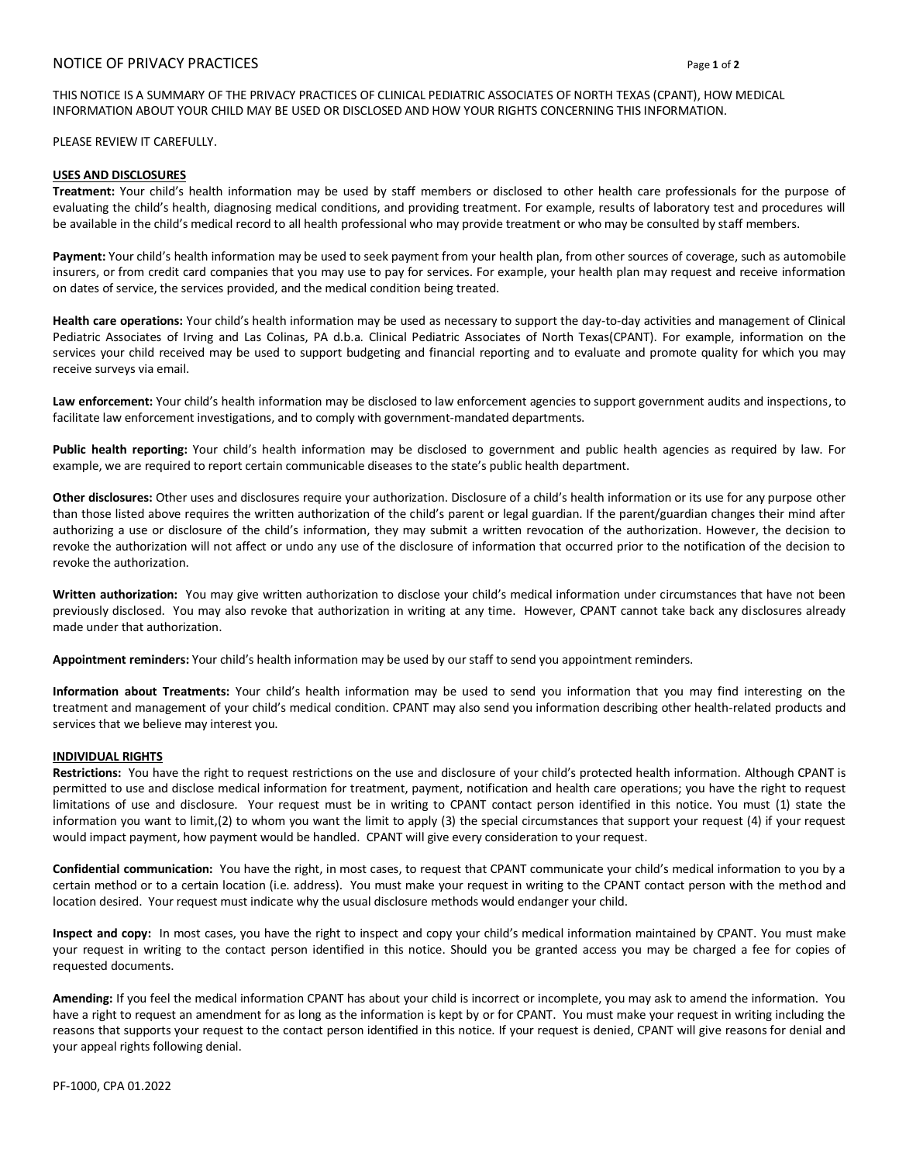## NOTICE OF PRIVACY PRACTICES Page **1** of **2**

THIS NOTICE IS A SUMMARY OF THE PRIVACY PRACTICES OF CLINICAL PEDIATRIC ASSOCIATES OF NORTH TEXAS (CPANT), HOW MEDICAL INFORMATION ABOUT YOUR CHILD MAY BE USED OR DISCLOSED AND HOW YOUR RIGHTS CONCERNING THIS INFORMATION.

PLEASE REVIEW IT CAREFULLY.

## **USES AND DISCLOSURES**

**Treatment:** Your child's health information may be used by staff members or disclosed to other health care professionals for the purpose of evaluating the child's health, diagnosing medical conditions, and providing treatment. For example, results of laboratory test and procedures will be available in the child's medical record to all health professional who may provide treatment or who may be consulted by staff members.

**Payment:** Your child's health information may be used to seek payment from your health plan, from other sources of coverage, such as automobile insurers, or from credit card companies that you may use to pay for services. For example, your health plan may request and receive information on dates of service, the services provided, and the medical condition being treated.

**Health care operations:** Your child's health information may be used as necessary to support the day-to-day activities and management of Clinical Pediatric Associates of Irving and Las Colinas, PA d.b.a. Clinical Pediatric Associates of North Texas(CPANT). For example, information on the services your child received may be used to support budgeting and financial reporting and to evaluate and promote quality for which you may receive surveys via email.

**Law enforcement:** Your child's health information may be disclosed to law enforcement agencies to support government audits and inspections, to facilitate law enforcement investigations, and to comply with government-mandated departments.

**Public health reporting:** Your child's health information may be disclosed to government and public health agencies as required by law. For example, we are required to report certain communicable diseases to the state's public health department.

**Other disclosures:** Other uses and disclosures require your authorization. Disclosure of a child's health information or its use for any purpose other than those listed above requires the written authorization of the child's parent or legal guardian. If the parent/guardian changes their mind after authorizing a use or disclosure of the child's information, they may submit a written revocation of the authorization. However, the decision to revoke the authorization will not affect or undo any use of the disclosure of information that occurred prior to the notification of the decision to revoke the authorization.

**Written authorization:** You may give written authorization to disclose your child's medical information under circumstances that have not been previously disclosed. You may also revoke that authorization in writing at any time. However, CPANT cannot take back any disclosures already made under that authorization.

**Appointment reminders:** Your child's health information may be used by our staff to send you appointment reminders.

**Information about Treatments:** Your child's health information may be used to send you information that you may find interesting on the treatment and management of your child's medical condition. CPANT may also send you information describing other health-related products and services that we believe may interest you.

## **INDIVIDUAL RIGHTS**

**Restrictions:** You have the right to request restrictions on the use and disclosure of your child's protected health information. Although CPANT is permitted to use and disclose medical information for treatment, payment, notification and health care operations; you have the right to request limitations of use and disclosure. Your request must be in writing to CPANT contact person identified in this notice. You must (1) state the information you want to limit,(2) to whom you want the limit to apply (3) the special circumstances that support your request (4) if your request would impact payment, how payment would be handled. CPANT will give every consideration to your request.

**Confidential communication:** You have the right, in most cases, to request that CPANT communicate your child's medical information to you by a certain method or to a certain location (i.e. address). You must make your request in writing to the CPANT contact person with the method and location desired. Your request must indicate why the usual disclosure methods would endanger your child.

**Inspect and copy:** In most cases, you have the right to inspect and copy your child's medical information maintained by CPANT. You must make your request in writing to the contact person identified in this notice. Should you be granted access you may be charged a fee for copies of requested documents.

**Amending:** If you feel the medical information CPANT has about your child is incorrect or incomplete, you may ask to amend the information. You have a right to request an amendment for as long as the information is kept by or for CPANT. You must make your request in writing including the reasons that supports your request to the contact person identified in this notice. If your request is denied, CPANT will give reasons for denial and your appeal rights following denial.